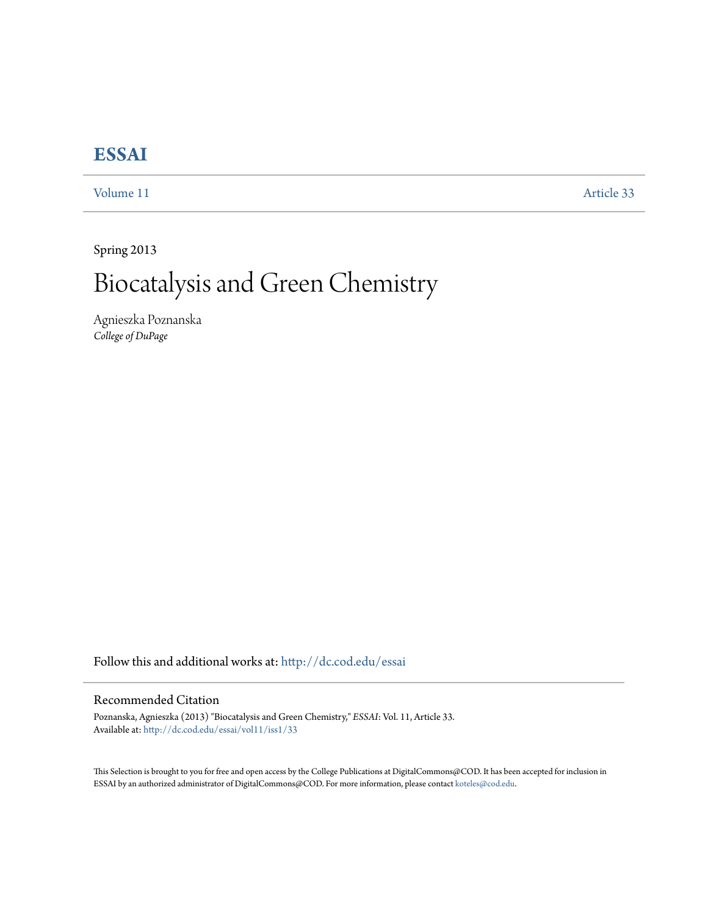## **[ESSAI](http://dc.cod.edu/essai?utm_source=dc.cod.edu%2Fessai%2Fvol11%2Fiss1%2F33&utm_medium=PDF&utm_campaign=PDFCoverPages)**

[Volume 11](http://dc.cod.edu/essai/vol11?utm_source=dc.cod.edu%2Fessai%2Fvol11%2Fiss1%2F33&utm_medium=PDF&utm_campaign=PDFCoverPages) [Article 33](http://dc.cod.edu/essai/vol11/iss1/33?utm_source=dc.cod.edu%2Fessai%2Fvol11%2Fiss1%2F33&utm_medium=PDF&utm_campaign=PDFCoverPages)

Spring 2013

## Biocatalysis and Green Chemistry

Agnieszka Poznanska *College of DuPage*

Follow this and additional works at: [http://dc.cod.edu/essai](http://dc.cod.edu/essai?utm_source=dc.cod.edu%2Fessai%2Fvol11%2Fiss1%2F33&utm_medium=PDF&utm_campaign=PDFCoverPages)

## Recommended Citation

Poznanska, Agnieszka (2013) "Biocatalysis and Green Chemistry," *ESSAI*: Vol. 11, Article 33. Available at: [http://dc.cod.edu/essai/vol11/iss1/33](http://dc.cod.edu/essai/vol11/iss1/33?utm_source=dc.cod.edu%2Fessai%2Fvol11%2Fiss1%2F33&utm_medium=PDF&utm_campaign=PDFCoverPages)

This Selection is brought to you for free and open access by the College Publications at DigitalCommons@COD. It has been accepted for inclusion in ESSAI by an authorized administrator of DigitalCommons@COD. For more information, please contact [koteles@cod.edu](mailto:koteles@cod.edu).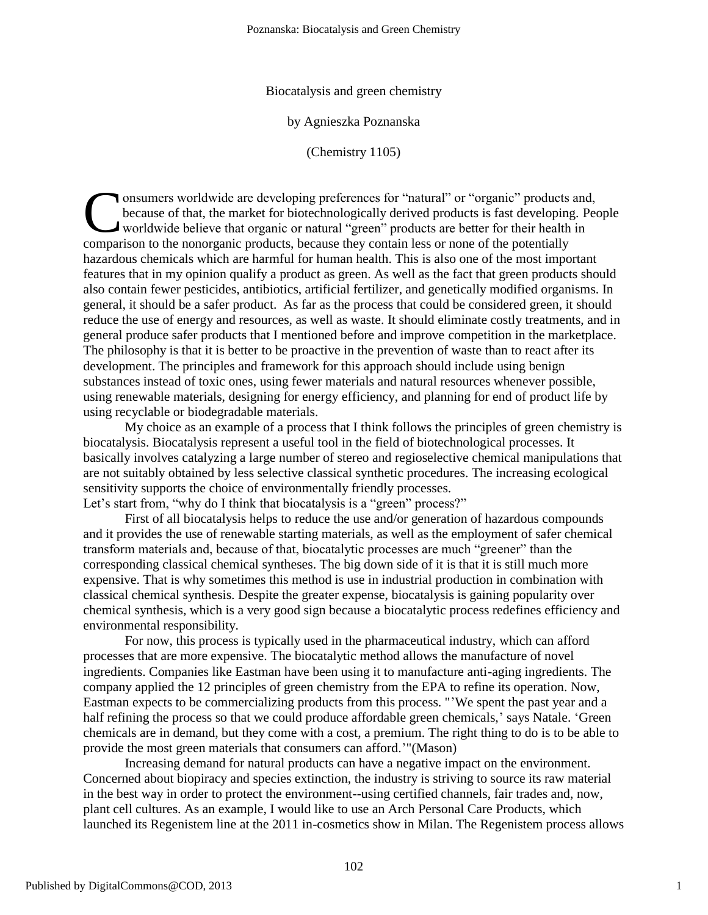Biocatalysis and green chemistry

by Agnieszka Poznanska

(Chemistry 1105)

I onsumers worldwide are developing preferences for "natural" or "organic" products and, because of that, the market for biotechnologically derived products is fast developing. People worldwide believe that organic or natural "green" products are better for their health in comparison to the nonorganic products, because they contain less or none of the potentially comparison to the nonorganic products, because they contain less or none of the potentially hazardous chemicals which are harmful for human health. This is also one of the most important features that in my opinion qualify a product as green. As well as the fact that green products should also contain fewer pesticides, antibiotics, artificial fertilizer, and genetically modified organisms. In general, it should be a safer product. As far as the process that could be considered green, it should reduce the use of energy and resources, as well as waste. It should eliminate costly treatments, and in general produce safer products that I mentioned before and improve competition in the marketplace. The philosophy is that it is better to be proactive in the prevention of waste than to react after its development. The principles and framework for this approach should include using benign substances instead of toxic ones, using fewer materials and natural resources whenever possible, using renewable materials, designing for energy efficiency, and planning for end of product life by using recyclable or biodegradable materials.

My choice as an example of a process that I think follows the principles of green chemistry is biocatalysis. Biocatalysis represent a useful tool in the field of biotechnological processes. It basically involves catalyzing a large number of stereo and regioselective chemical manipulations that are not suitably obtained by less selective classical synthetic procedures. The increasing ecological sensitivity supports the choice of environmentally friendly processes. Let's start from, "why do I think that biocatalysis is a "green" process?"

First of all biocatalysis helps to reduce the use and/or generation of hazardous compounds and it provides the use of renewable starting materials, as well as the employment of safer chemical transform materials and, because of that, biocatalytic processes are much "greener" than the corresponding classical chemical syntheses. The big down side of it is that it is still much more expensive. That is why sometimes this method is use in industrial production in combination with classical chemical synthesis. Despite the greater expense, biocatalysis is gaining popularity over chemical synthesis, which is a very good sign because a biocatalytic process redefines efficiency and environmental responsibility.

For now, this process is typically used in the pharmaceutical industry, which can afford processes that are more expensive. The biocatalytic method allows the manufacture of novel ingredients. Companies like Eastman have been using it to manufacture anti-aging ingredients. The company applied the 12 principles of green chemistry from the EPA to refine its operation. Now, Eastman expects to be commercializing products from this process. "'We spent the past year and a half refining the process so that we could produce affordable green chemicals,' says Natale. 'Green chemicals are in demand, but they come with a cost, a premium. The right thing to do is to be able to provide the most green materials that consumers can afford.'"(Mason)

Increasing demand for natural products can have a negative impact on the environment. Concerned about biopiracy and species extinction, the industry is striving to source its raw material in the best way in order to protect the environment--using certified channels, fair trades and, now, plant cell cultures. As an example, I would like to use an Arch Personal Care Products, which launched its Regenistem line at the 2011 in-cosmetics show in Milan. The Regenistem process allows